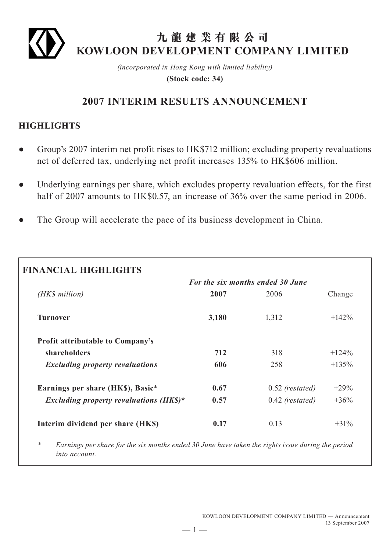

# **九龍建業有限公司 KOWLOON DEVELOPMENT COMPANY LIMITED**

*(incorporated in Hong Kong with limited liability)* **(Stock code: 34)**

# **2007 INTERIM RESULTS ANNOUNCEMENT**

# **HIGHLIGHTS**

- Group's 2007 interim net profit rises to HK\$712 million; excluding property revaluations net of deferred tax, underlying net profit increases 135% to HK\$606 million.
- Underlying earnings per share, which excludes property revaluation effects, for the first half of 2007 amounts to HK\$0.57, an increase of 36% over the same period in 2006.
- The Group will accelerate the pace of its business development in China.

|                                           |       | <b>For the six months ended 30 June</b> |         |
|-------------------------------------------|-------|-----------------------------------------|---------|
| (HK\$ million)                            | 2007  | 2006                                    | Change  |
| <b>Turnover</b>                           | 3,180 | 1,312                                   | $+142%$ |
| <b>Profit attributable to Company's</b>   |       |                                         |         |
| shareholders                              | 712   | 318                                     | $+124%$ |
| <b>Excluding property revaluations</b>    | 606   | 258                                     | $+135%$ |
| Earnings per share (HK\$), Basic*         | 0.67  | $0.52$ (restated)                       | $+29%$  |
| Excluding property revaluations $(HK\$ )* | 0.57  | $0.42$ (restated)                       | $+36%$  |
| Interim dividend per share (HK\$)         | 0.17  | 0.13                                    | $+31\%$ |

*\* Earnings per share for the six months ended 30 June have taken the rights issue during the period into account.*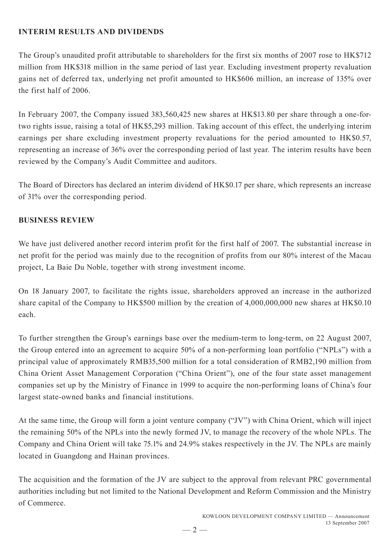# **INTERIM RESULTS AND DIVIDENDS**

The Group's unaudited profit attributable to shareholders for the first six months of 2007 rose to HK\$712 million from HK\$318 million in the same period of last year. Excluding investment property revaluation gains net of deferred tax, underlying net profit amounted to HK\$606 million, an increase of 135% over the first half of 2006.

In February 2007, the Company issued 383,560,425 new shares at HK\$13.80 per share through a one-fortwo rights issue, raising a total of HK\$5,293 million. Taking account of this effect, the underlying interim earnings per share excluding investment property revaluations for the period amounted to HK\$0.57, representing an increase of 36% over the corresponding period of last year. The interim results have been reviewed by the Company's Audit Committee and auditors.

The Board of Directors has declared an interim dividend of HK\$0.17 per share, which represents an increase of 31% over the corresponding period.

# **BUSINESS REVIEW**

We have just delivered another record interim profit for the first half of 2007. The substantial increase in net profit for the period was mainly due to the recognition of profits from our 80% interest of the Macau project, La Baie Du Noble, together with strong investment income.

On 18 January 2007, to facilitate the rights issue, shareholders approved an increase in the authorized share capital of the Company to HK\$500 million by the creation of 4,000,000,000 new shares at HK\$0.10 each.

To further strengthen the Group's earnings base over the medium-term to long-term, on 22 August 2007, the Group entered into an agreement to acquire 50% of a non-performing loan portfolio ("NPLs") with a principal value of approximately RMB35,500 million for a total consideration of RMB2,190 million from China Orient Asset Management Corporation ("China Orient"), one of the four state asset management companies set up by the Ministry of Finance in 1999 to acquire the non-performing loans of China's four largest state-owned banks and financial institutions.

At the same time, the Group will form a joint venture company ("JV") with China Orient, which will inject the remaining 50% of the NPLs into the newly formed JV, to manage the recovery of the whole NPLs. The Company and China Orient will take 75.1% and 24.9% stakes respectively in the JV. The NPLs are mainly located in Guangdong and Hainan provinces.

The acquisition and the formation of the JV are subject to the approval from relevant PRC governmental authorities including but not limited to the National Development and Reform Commission and the Ministry of Commerce.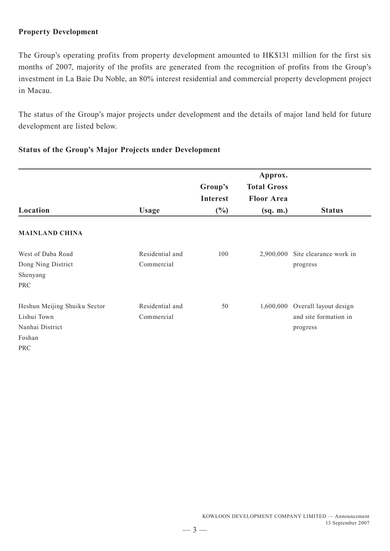# **Property Development**

The Group's operating profits from property development amounted to HK\$131 million for the first six months of 2007, majority of the profits are generated from the recognition of profits from the Group's investment in La Baie Du Noble, an 80% interest residential and commercial property development project in Macau.

The status of the Group's major projects under development and the details of major land held for future development are listed below.

|  |  |  | <b>Status of the Group's Major Projects under Development</b> |
|--|--|--|---------------------------------------------------------------|
|  |  |  |                                                               |

|                              |                 |                 | Approx.            |                                  |
|------------------------------|-----------------|-----------------|--------------------|----------------------------------|
|                              |                 | Group's         | <b>Total Gross</b> |                                  |
|                              |                 | <b>Interest</b> | <b>Floor Area</b>  |                                  |
| Location                     | <b>Usage</b>    | $(\%)$          | (sq. m.)           | <b>Status</b>                    |
| <b>MAINLAND CHINA</b>        |                 |                 |                    |                                  |
| West of Daba Road            | Residential and | 100             |                    | 2,900,000 Site clearance work in |
| Dong Ning District           | Commercial      |                 |                    | progress                         |
| Shenyang                     |                 |                 |                    |                                  |
| <b>PRC</b>                   |                 |                 |                    |                                  |
| Heshun Meijing Shuiku Sector | Residential and | 50              |                    | 1,600,000 Overall layout design  |
| Lishui Town                  | Commercial      |                 |                    | and site formation in            |
| Nanhai District              |                 |                 |                    | progress                         |
| Foshan                       |                 |                 |                    |                                  |
| <b>PRC</b>                   |                 |                 |                    |                                  |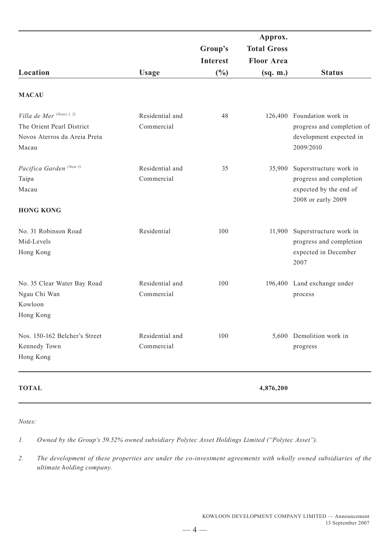|                                                                                                 |                               | Group's<br><b>Interest</b> | Approx.<br><b>Total Gross</b><br><b>Floor Area</b> |                                                                                                   |
|-------------------------------------------------------------------------------------------------|-------------------------------|----------------------------|----------------------------------------------------|---------------------------------------------------------------------------------------------------|
| Location                                                                                        | <b>Usage</b>                  | $\frac{0}{0}$              | (sq. m.)                                           | <b>Status</b>                                                                                     |
| <b>MACAU</b>                                                                                    |                               |                            |                                                    |                                                                                                   |
| Villa de Mer (Notes 1, 2)<br>The Orient Pearl District<br>Novos Aterros da Areia Preta<br>Macau | Residential and<br>Commercial | 48                         |                                                    | 126,400 Foundation work in<br>progress and completion of<br>development expected in<br>2009/2010  |
| Pacifica Garden <sup>(Note 1)</sup><br>Taipa<br>Macau<br><b>HONG KONG</b>                       | Residential and<br>Commercial | 35                         | 35,900                                             | Superstructure work in<br>progress and completion<br>expected by the end of<br>2008 or early 2009 |
| No. 31 Robinson Road<br>Mid-Levels<br>Hong Kong                                                 | Residential                   | 100                        | 11,900                                             | Superstructure work in<br>progress and completion<br>expected in December<br>2007                 |
| No. 35 Clear Water Bay Road<br>Ngau Chi Wan<br>Kowloon<br>Hong Kong                             | Residential and<br>Commercial | 100                        |                                                    | 196,400 Land exchange under<br>process                                                            |
| Nos. 150-162 Belcher's Street<br>Kennedy Town<br>Hong Kong                                      | Residential and<br>Commercial | 100                        |                                                    | 5,600 Demolition work in<br>progress                                                              |
| <b>TOTAL</b>                                                                                    |                               |                            | 4,876,200                                          |                                                                                                   |

#### *Notes:*

*1. Owned by the Group's 59.52% owned subsidiary Polytec Asset Holdings Limited ("Polytec Asset").*

*2. The development of these properties are under the co-investment agreements with wholly owned subsidiaries of the ultimate holding company.*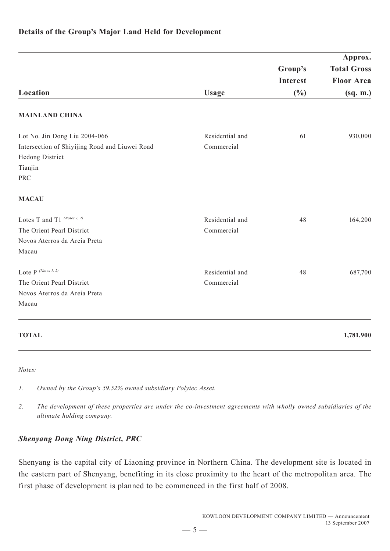|                                                                   |                 |                 | Approx.            |
|-------------------------------------------------------------------|-----------------|-----------------|--------------------|
|                                                                   |                 | Group's         | <b>Total Gross</b> |
|                                                                   |                 | <b>Interest</b> | <b>Floor Area</b>  |
| Location                                                          | <b>Usage</b>    | $(\%)$          | (sq. m.)           |
| <b>MAINLAND CHINA</b>                                             |                 |                 |                    |
| Lot No. Jin Dong Liu 2004-066                                     | Residential and | 61              | 930,000            |
| Intersection of Shiyijing Road and Liuwei Road<br>Hedong District | Commercial      |                 |                    |
| Tianjin                                                           |                 |                 |                    |
| <b>PRC</b>                                                        |                 |                 |                    |
| <b>MACAU</b>                                                      |                 |                 |                    |
| Lotes T and T1 (Notes 1, 2)                                       | Residential and | 48              | 164,200            |
| The Orient Pearl District                                         | Commercial      |                 |                    |
| Novos Aterros da Areia Preta                                      |                 |                 |                    |
| Macau                                                             |                 |                 |                    |
| Lote $P^{(Notes I, 2)}$                                           | Residential and | 48              | 687,700            |
| The Orient Pearl District                                         | Commercial      |                 |                    |
| Novos Aterros da Areia Preta                                      |                 |                 |                    |
| Macau                                                             |                 |                 |                    |
| <b>TOTAL</b>                                                      |                 |                 | 1,781,900          |

# **Details of the Group's Major Land Held for Development**

*Notes:*

*1. Owned by the Group's 59.52% owned subsidiary Polytec Asset.*

*2. The development of these properties are under the co-investment agreements with wholly owned subsidiaries of the ultimate holding company.*

## *Shenyang Dong Ning District, PRC*

Shenyang is the capital city of Liaoning province in Northern China. The development site is located in the eastern part of Shenyang, benefiting in its close proximity to the heart of the metropolitan area. The first phase of development is planned to be commenced in the first half of 2008.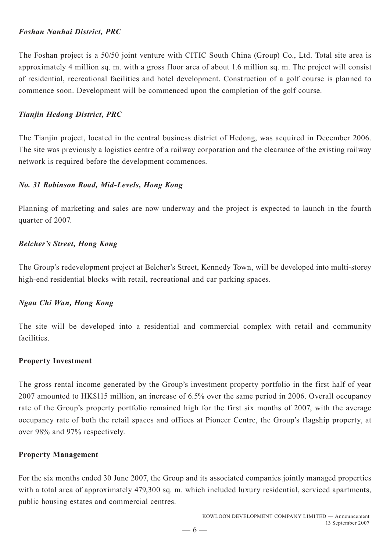## *Foshan Nanhai District, PRC*

The Foshan project is a 50/50 joint venture with CITIC South China (Group) Co., Ltd. Total site area is approximately 4 million sq. m. with a gross floor area of about 1.6 million sq. m. The project will consist of residential, recreational facilities and hotel development. Construction of a golf course is planned to commence soon. Development will be commenced upon the completion of the golf course.

# *Tianjin Hedong District, PRC*

The Tianjin project, located in the central business district of Hedong, was acquired in December 2006. The site was previously a logistics centre of a railway corporation and the clearance of the existing railway network is required before the development commences.

## *No. 31 Robinson Road, Mid-Levels, Hong Kong*

Planning of marketing and sales are now underway and the project is expected to launch in the fourth quarter of 2007.

# *Belcher's Street, Hong Kong*

The Group's redevelopment project at Belcher's Street, Kennedy Town, will be developed into multi-storey high-end residential blocks with retail, recreational and car parking spaces.

## *Ngau Chi Wan, Hong Kong*

The site will be developed into a residential and commercial complex with retail and community facilities.

## **Property Investment**

The gross rental income generated by the Group's investment property portfolio in the first half of year 2007 amounted to HK\$115 million, an increase of 6.5% over the same period in 2006. Overall occupancy rate of the Group's property portfolio remained high for the first six months of 2007, with the average occupancy rate of both the retail spaces and offices at Pioneer Centre, the Group's flagship property, at over 98% and 97% respectively.

## **Property Management**

For the six months ended 30 June 2007, the Group and its associated companies jointly managed properties with a total area of approximately 479,300 sq. m. which included luxury residential, serviced apartments, public housing estates and commercial centres.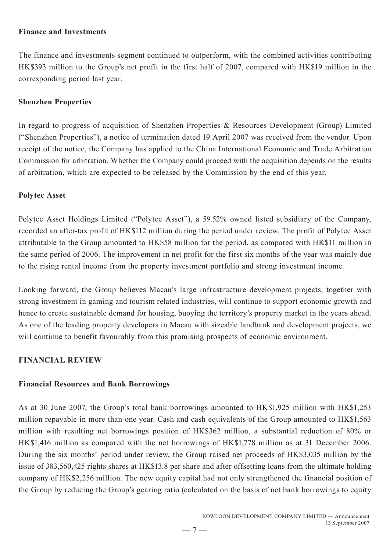## **Finance and Investments**

The finance and investments segment continued to outperform, with the combined activities contributing HK\$393 million to the Group's net profit in the first half of 2007, compared with HK\$19 million in the corresponding period last year.

# **Shenzhen Properties**

In regard to progress of acquisition of Shenzhen Properties & Resources Development (Group) Limited ("Shenzhen Properties"), a notice of termination dated 19 April 2007 was received from the vendor. Upon receipt of the notice, the Company has applied to the China International Economic and Trade Arbitration Commission for arbitration. Whether the Company could proceed with the acquisition depends on the results of arbitration, which are expected to be released by the Commission by the end of this year.

# **Polytec Asset**

Polytec Asset Holdings Limited ("Polytec Asset"), a 59.52% owned listed subsidiary of the Company, recorded an after-tax profit of HK\$112 million during the period under review. The profit of Polytec Asset attributable to the Group amounted to HK\$58 million for the period, as compared with HK\$11 million in the same period of 2006. The improvement in net profit for the first six months of the year was mainly due to the rising rental income from the property investment portfolio and strong investment income.

Looking forward, the Group believes Macau's large infrastructure development projects, together with strong investment in gaming and tourism related industries, will continue to support economic growth and hence to create sustainable demand for housing, buoying the territory's property market in the years ahead. As one of the leading property developers in Macau with sizeable landbank and development projects, we will continue to benefit favourably from this promising prospects of economic environment.

# **FINANCIAL REVIEW**

## **Financial Resources and Bank Borrowings**

As at 30 June 2007, the Group's total bank borrowings amounted to HK\$1,925 million with HK\$1,253 million repayable in more than one year. Cash and cash equivalents of the Group amounted to HK\$1,563 million with resulting net borrowings position of HK\$362 million, a substantial reduction of 80% or HK\$1,416 million as compared with the net borrowings of HK\$1,778 million as at 31 December 2006. During the six months' period under review, the Group raised net proceeds of HK\$3,035 million by the issue of 383,560,425 rights shares at HK\$13.8 per share and after offsetting loans from the ultimate holding company of HK\$2,256 million. The new equity capital had not only strengthened the financial position of the Group by reducing the Group's gearing ratio (calculated on the basis of net bank borrowings to equity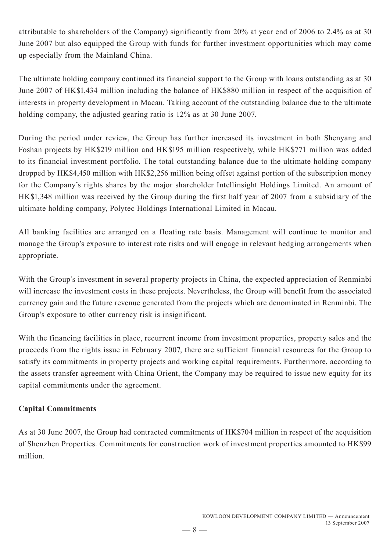attributable to shareholders of the Company) significantly from 20% at year end of 2006 to 2.4% as at 30 June 2007 but also equipped the Group with funds for further investment opportunities which may come up especially from the Mainland China.

The ultimate holding company continued its financial support to the Group with loans outstanding as at 30 June 2007 of HK\$1,434 million including the balance of HK\$880 million in respect of the acquisition of interests in property development in Macau. Taking account of the outstanding balance due to the ultimate holding company, the adjusted gearing ratio is 12% as at 30 June 2007.

During the period under review, the Group has further increased its investment in both Shenyang and Foshan projects by HK\$219 million and HK\$195 million respectively, while HK\$771 million was added to its financial investment portfolio. The total outstanding balance due to the ultimate holding company dropped by HK\$4,450 million with HK\$2,256 million being offset against portion of the subscription money for the Company's rights shares by the major shareholder Intellinsight Holdings Limited. An amount of HK\$1,348 million was received by the Group during the first half year of 2007 from a subsidiary of the ultimate holding company, Polytec Holdings International Limited in Macau.

All banking facilities are arranged on a floating rate basis. Management will continue to monitor and manage the Group's exposure to interest rate risks and will engage in relevant hedging arrangements when appropriate.

With the Group's investment in several property projects in China, the expected appreciation of Renminbi will increase the investment costs in these projects. Nevertheless, the Group will benefit from the associated currency gain and the future revenue generated from the projects which are denominated in Renminbi. The Group's exposure to other currency risk is insignificant.

With the financing facilities in place, recurrent income from investment properties, property sales and the proceeds from the rights issue in February 2007, there are sufficient financial resources for the Group to satisfy its commitments in property projects and working capital requirements. Furthermore, according to the assets transfer agreement with China Orient, the Company may be required to issue new equity for its capital commitments under the agreement.

# **Capital Commitments**

As at 30 June 2007, the Group had contracted commitments of HK\$704 million in respect of the acquisition of Shenzhen Properties. Commitments for construction work of investment properties amounted to HK\$99 million.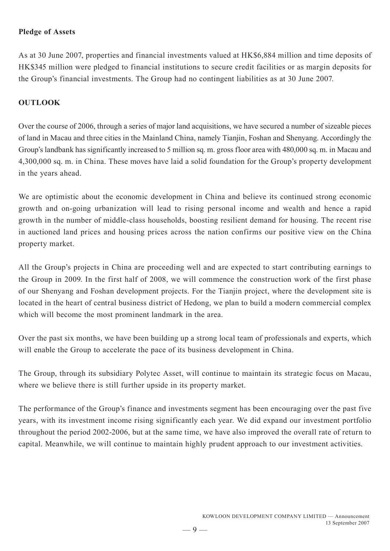## **Pledge of Assets**

As at 30 June 2007, properties and financial investments valued at HK\$6,884 million and time deposits of HK\$345 million were pledged to financial institutions to secure credit facilities or as margin deposits for the Group's financial investments. The Group had no contingent liabilities as at 30 June 2007.

# **OUTLOOK**

Over the course of 2006, through a series of major land acquisitions, we have secured a number of sizeable pieces of land in Macau and three cities in the Mainland China, namely Tianjin, Foshan and Shenyang. Accordingly the Group's landbank has significantly increased to 5 million sq. m. gross floor area with 480,000 sq. m. in Macau and 4,300,000 sq. m. in China. These moves have laid a solid foundation for the Group's property development in the years ahead.

We are optimistic about the economic development in China and believe its continued strong economic growth and on-going urbanization will lead to rising personal income and wealth and hence a rapid growth in the number of middle-class households, boosting resilient demand for housing. The recent rise in auctioned land prices and housing prices across the nation confirms our positive view on the China property market.

All the Group's projects in China are proceeding well and are expected to start contributing earnings to the Group in 2009. In the first half of 2008, we will commence the construction work of the first phase of our Shenyang and Foshan development projects. For the Tianjin project, where the development site is located in the heart of central business district of Hedong, we plan to build a modern commercial complex which will become the most prominent landmark in the area.

Over the past six months, we have been building up a strong local team of professionals and experts, which will enable the Group to accelerate the pace of its business development in China.

The Group, through its subsidiary Polytec Asset, will continue to maintain its strategic focus on Macau, where we believe there is still further upside in its property market.

The performance of the Group's finance and investments segment has been encouraging over the past five years, with its investment income rising significantly each year. We did expand our investment portfolio throughout the period 2002-2006, but at the same time, we have also improved the overall rate of return to capital. Meanwhile, we will continue to maintain highly prudent approach to our investment activities.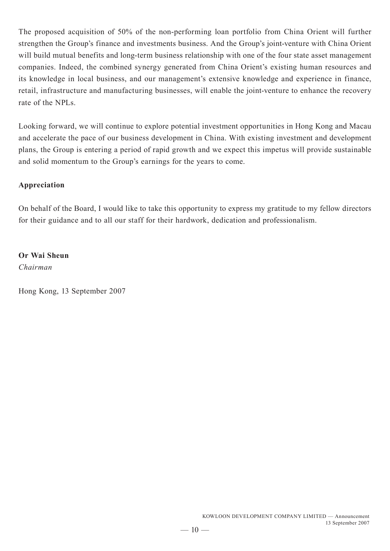The proposed acquisition of 50% of the non-performing loan portfolio from China Orient will further strengthen the Group's finance and investments business. And the Group's joint-venture with China Orient will build mutual benefits and long-term business relationship with one of the four state asset management companies. Indeed, the combined synergy generated from China Orient's existing human resources and its knowledge in local business, and our management's extensive knowledge and experience in finance, retail, infrastructure and manufacturing businesses, will enable the joint-venture to enhance the recovery rate of the NPLs.

Looking forward, we will continue to explore potential investment opportunities in Hong Kong and Macau and accelerate the pace of our business development in China. With existing investment and development plans, the Group is entering a period of rapid growth and we expect this impetus will provide sustainable and solid momentum to the Group's earnings for the years to come.

# **Appreciation**

On behalf of the Board, I would like to take this opportunity to express my gratitude to my fellow directors for their guidance and to all our staff for their hardwork, dedication and professionalism.

**Or Wai Sheun** *Chairman*

Hong Kong, 13 September 2007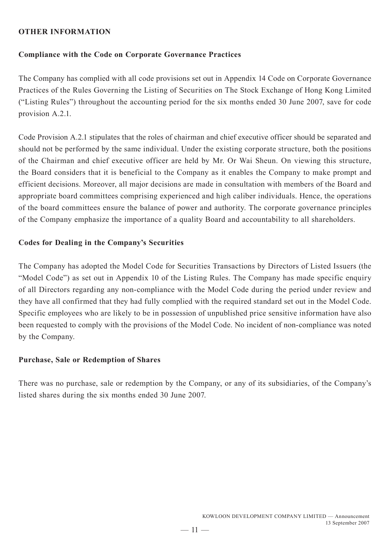## **OTHER INFORMATION**

#### **Compliance with the Code on Corporate Governance Practices**

The Company has complied with all code provisions set out in Appendix 14 Code on Corporate Governance Practices of the Rules Governing the Listing of Securities on The Stock Exchange of Hong Kong Limited ("Listing Rules") throughout the accounting period for the six months ended 30 June 2007, save for code provision A.2.1.

Code Provision A.2.1 stipulates that the roles of chairman and chief executive officer should be separated and should not be performed by the same individual. Under the existing corporate structure, both the positions of the Chairman and chief executive officer are held by Mr. Or Wai Sheun. On viewing this structure, the Board considers that it is beneficial to the Company as it enables the Company to make prompt and efficient decisions. Moreover, all major decisions are made in consultation with members of the Board and appropriate board committees comprising experienced and high caliber individuals. Hence, the operations of the board committees ensure the balance of power and authority. The corporate governance principles of the Company emphasize the importance of a quality Board and accountability to all shareholders.

#### **Codes for Dealing in the Company's Securities**

The Company has adopted the Model Code for Securities Transactions by Directors of Listed Issuers (the "Model Code") as set out in Appendix 10 of the Listing Rules. The Company has made specific enquiry of all Directors regarding any non-compliance with the Model Code during the period under review and they have all confirmed that they had fully complied with the required standard set out in the Model Code. Specific employees who are likely to be in possession of unpublished price sensitive information have also been requested to comply with the provisions of the Model Code. No incident of non-compliance was noted by the Company.

#### **Purchase, Sale or Redemption of Shares**

There was no purchase, sale or redemption by the Company, or any of its subsidiaries, of the Company's listed shares during the six months ended 30 June 2007.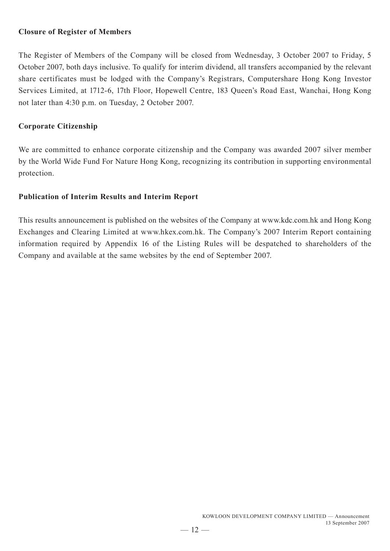## **Closure of Register of Members**

The Register of Members of the Company will be closed from Wednesday, 3 October 2007 to Friday, 5 October 2007, both days inclusive. To qualify for interim dividend, all transfers accompanied by the relevant share certificates must be lodged with the Company's Registrars, Computershare Hong Kong Investor Services Limited, at 1712-6, 17th Floor, Hopewell Centre, 183 Queen's Road East, Wanchai, Hong Kong not later than 4:30 p.m. on Tuesday, 2 October 2007.

# **Corporate Citizenship**

We are committed to enhance corporate citizenship and the Company was awarded 2007 silver member by the World Wide Fund For Nature Hong Kong, recognizing its contribution in supporting environmental protection.

# **Publication of Interim Results and Interim Report**

This results announcement is published on the websites of the Company at www.kdc.com.hk and Hong Kong Exchanges and Clearing Limited at www.hkex.com.hk. The Company's 2007 Interim Report containing information required by Appendix 16 of the Listing Rules will be despatched to shareholders of the Company and available at the same websites by the end of September 2007.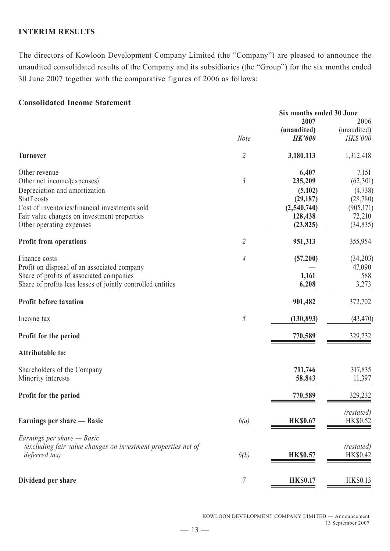## **INTERIM RESULTS**

The directors of Kowloon Development Company Limited (the "Company") are pleased to announce the unaudited consolidated results of the Company and its subsidiaries (the "Group") for the six months ended 30 June 2007 together with the comparative figures of 2006 as follows:

#### **Consolidated Income Statement**

|                                                               |                | Six months ended 30 June |                     |
|---------------------------------------------------------------|----------------|--------------------------|---------------------|
|                                                               |                | 2007<br>(unaudited)      | 2006<br>(unaudited) |
|                                                               | Note           | <b>HK'000</b>            | HK\$'000            |
| <b>Turnover</b>                                               | $\overline{2}$ | 3,180,113                | 1,312,418           |
| Other revenue                                                 |                | 6,407                    | 7,151               |
| Other net income/(expenses)                                   | $\mathfrak{Z}$ | 235,209                  | (62, 301)           |
| Depreciation and amortization                                 |                | (5,102)                  | (4,738)             |
| Staff costs                                                   |                | (29, 187)                | (28, 780)           |
| Cost of inventories/financial investments sold                |                | (2,540,740)              | (905, 171)          |
| Fair value changes on investment properties                   |                | 128,438                  | 72,210              |
| Other operating expenses                                      |                | (23, 825)                | (34, 835)           |
| <b>Profit from operations</b>                                 | $\overline{2}$ | 951,313                  | 355,954             |
| Finance costs                                                 | 4              | (57,200)                 | (34,203)            |
| Profit on disposal of an associated company                   |                |                          | 47,090              |
| Share of profits of associated companies                      |                | 1,161                    | 588                 |
| Share of profits less losses of jointly controlled entities   |                | 6,208                    | 3,273               |
| <b>Profit before taxation</b>                                 |                | 901,482                  | 372,702             |
| Income tax                                                    | 5              | (130, 893)               | (43, 470)           |
| Profit for the period                                         |                | 770,589                  | 329,232             |
| <b>Attributable to:</b>                                       |                |                          |                     |
| Shareholders of the Company                                   |                | 711,746                  | 317,835             |
| Minority interests                                            |                | 58,843                   | 11,397              |
| Profit for the period                                         |                | 770,589                  | 329,232             |
|                                                               |                |                          | (restated)          |
| Earnings per share — Basic                                    | 6(a)           | <b>HK\$0.67</b>          | HK\$0.52            |
| Earnings per share $-$ Basic                                  |                |                          |                     |
| (excluding fair value changes on investment properties net of |                |                          | (restated)          |
| deferred tax)                                                 | 6(b)           | <b>HK\$0.57</b>          | HK\$0.42            |
| Dividend per share                                            | 7              | <b>HK\$0.17</b>          | HK\$0.13            |
|                                                               |                |                          |                     |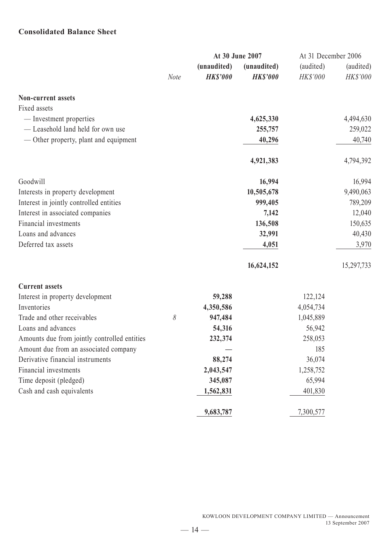# **Consolidated Balance Sheet**

|                                              | At 30 June 2007 |                                |                                | At 31 December 2006   |                       |
|----------------------------------------------|-----------------|--------------------------------|--------------------------------|-----------------------|-----------------------|
|                                              | <b>Note</b>     | (unaudited)<br><b>HK\$'000</b> | (unaudited)<br><b>HK\$'000</b> | (audited)<br>HK\$'000 | (audited)<br>HK\$'000 |
| <b>Non-current assets</b>                    |                 |                                |                                |                       |                       |
| Fixed assets                                 |                 |                                |                                |                       |                       |
| - Investment properties                      |                 |                                | 4,625,330                      |                       | 4,494,630             |
| - Leasehold land held for own use            |                 |                                | 255,757                        |                       | 259,022               |
| — Other property, plant and equipment        |                 |                                | 40,296                         |                       | 40,740                |
|                                              |                 |                                | 4,921,383                      |                       | 4,794,392             |
| Goodwill                                     |                 |                                | 16,994                         |                       | 16,994                |
| Interests in property development            |                 |                                | 10,505,678                     |                       | 9,490,063             |
| Interest in jointly controlled entities      |                 |                                | 999,405                        |                       | 789,209               |
| Interest in associated companies             |                 |                                | 7,142                          |                       | 12,040                |
| Financial investments                        |                 |                                | 136,508                        |                       | 150,635               |
| Loans and advances                           |                 |                                | 32,991                         |                       | 40,430                |
| Deferred tax assets                          |                 |                                | 4,051                          |                       | 3,970                 |
|                                              |                 |                                | 16,624,152                     |                       | 15,297,733            |
| <b>Current assets</b>                        |                 |                                |                                |                       |                       |
| Interest in property development             |                 | 59,288                         |                                | 122,124               |                       |
| Inventories                                  |                 | 4,350,586                      |                                | 4,054,734             |                       |
| Trade and other receivables                  | 8               | 947,484                        |                                | 1,045,889             |                       |
| Loans and advances                           |                 | 54,316                         |                                | 56,942                |                       |
| Amounts due from jointly controlled entities |                 | 232,374                        |                                | 258,053               |                       |
| Amount due from an associated company        |                 |                                |                                | 185                   |                       |
| Derivative financial instruments             |                 | 88,274                         |                                | 36,074                |                       |
| Financial investments                        |                 | 2,043,547                      |                                | 1,258,752             |                       |
| Time deposit (pledged)                       |                 | 345,087                        |                                | 65,994                |                       |
| Cash and cash equivalents                    |                 | 1,562,831                      |                                | 401,830               |                       |
|                                              |                 | 9,683,787                      |                                | 7,300,577             |                       |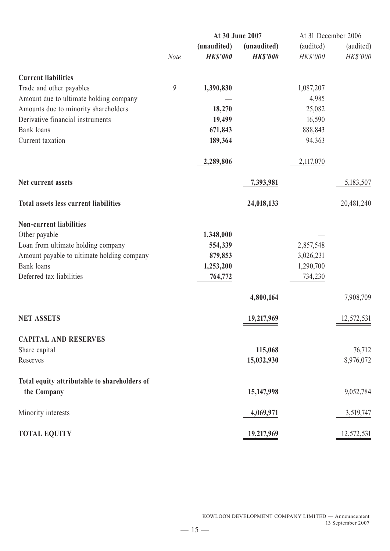|                                              |             | At 30 June 2007 |                 | At 31 December 2006 |            |
|----------------------------------------------|-------------|-----------------|-----------------|---------------------|------------|
|                                              |             | (unaudited)     | (unaudited)     | (audited)           | (audited)  |
|                                              | <b>Note</b> | <b>HK\$'000</b> | <b>HK\$'000</b> | HK\$'000            | HK\$'000   |
| <b>Current liabilities</b>                   |             |                 |                 |                     |            |
| Trade and other payables                     | 9           | 1,390,830       |                 | 1,087,207           |            |
| Amount due to ultimate holding company       |             |                 |                 | 4,985               |            |
| Amounts due to minority shareholders         |             | 18,270          |                 | 25,082              |            |
| Derivative financial instruments             |             | 19,499          |                 | 16,590              |            |
| Bank loans                                   |             | 671,843         |                 | 888,843             |            |
| Current taxation                             |             | 189,364         |                 | 94,363              |            |
|                                              |             | 2,289,806       |                 | 2,117,070           |            |
| Net current assets                           |             |                 | 7,393,981       |                     | 5,183,507  |
| <b>Total assets less current liabilities</b> |             |                 | 24,018,133      |                     | 20,481,240 |
| <b>Non-current liabilities</b>               |             |                 |                 |                     |            |
| Other payable                                |             | 1,348,000       |                 |                     |            |
| Loan from ultimate holding company           |             | 554,339         |                 | 2,857,548           |            |
| Amount payable to ultimate holding company   |             | 879,853         |                 | 3,026,231           |            |
| Bank loans                                   |             | 1,253,200       |                 | 1,290,700           |            |
| Deferred tax liabilities                     |             | 764,772         |                 | 734,230             |            |
|                                              |             |                 | 4,800,164       |                     | 7,908,709  |
| <b>NET ASSETS</b>                            |             |                 | 19,217,969      |                     | 12,572,531 |
| <b>CAPITAL AND RESERVES</b>                  |             |                 |                 |                     |            |
| Share capital                                |             |                 | 115,068         |                     | 76,712     |
| Reserves                                     |             |                 | 15,032,930      |                     | 8,976,072  |
| Total equity attributable to shareholders of |             |                 |                 |                     |            |
| the Company                                  |             |                 | 15,147,998      |                     | 9,052,784  |
| Minority interests                           |             |                 | 4,069,971       |                     | 3,519,747  |
| <b>TOTAL EQUITY</b>                          |             |                 | 19,217,969      |                     | 12,572,531 |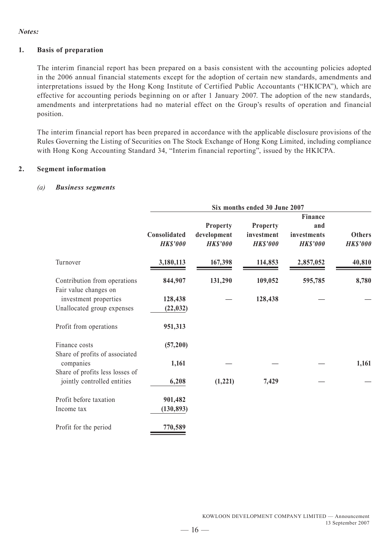#### *Notes:*

#### **1. Basis of preparation**

The interim financial report has been prepared on a basis consistent with the accounting policies adopted in the 2006 annual financial statements except for the adoption of certain new standards, amendments and interpretations issued by the Hong Kong Institute of Certified Public Accountants ("HKICPA"), which are effective for accounting periods beginning on or after 1 January 2007. The adoption of the new standards, amendments and interpretations had no material effect on the Group's results of operation and financial position.

The interim financial report has been prepared in accordance with the applicable disclosure provisions of the Rules Governing the Listing of Securities on The Stock Exchange of Hong Kong Limited, including compliance with Hong Kong Accounting Standard 34, "Interim financial reporting", issued by the HKICPA.

#### **2. Segment information**

#### *(a) Business segments*

|                                                       | Six months ended 30 June 2007   |                                            |                                           |                                                         |                                  |  |  |
|-------------------------------------------------------|---------------------------------|--------------------------------------------|-------------------------------------------|---------------------------------------------------------|----------------------------------|--|--|
|                                                       | Consolidated<br><b>HK\$'000</b> | Property<br>development<br><b>HK\$'000</b> | Property<br>investment<br><b>HK\$'000</b> | <b>Finance</b><br>and<br>investments<br><b>HK\$'000</b> | <b>Others</b><br><b>HK\$'000</b> |  |  |
| Turnover                                              | 3,180,113                       | 167,398                                    | 114,853                                   | 2,857,052                                               | 40,810                           |  |  |
| Contribution from operations<br>Fair value changes on | 844,907                         | 131,290                                    | 109,052                                   | 595,785                                                 | 8,780                            |  |  |
| investment properties<br>Unallocated group expenses   | 128,438<br>(22, 032)            |                                            | 128,438                                   |                                                         |                                  |  |  |
| Profit from operations                                | 951,313                         |                                            |                                           |                                                         |                                  |  |  |
| Finance costs<br>Share of profits of associated       | (57, 200)                       |                                            |                                           |                                                         |                                  |  |  |
| companies<br>Share of profits less losses of          | 1,161                           |                                            |                                           |                                                         | 1,161                            |  |  |
| jointly controlled entities                           | 6,208                           | (1, 221)                                   | 7,429                                     |                                                         |                                  |  |  |
| Profit before taxation<br>Income tax                  | 901,482<br>(130, 893)           |                                            |                                           |                                                         |                                  |  |  |
| Profit for the period                                 | 770,589                         |                                            |                                           |                                                         |                                  |  |  |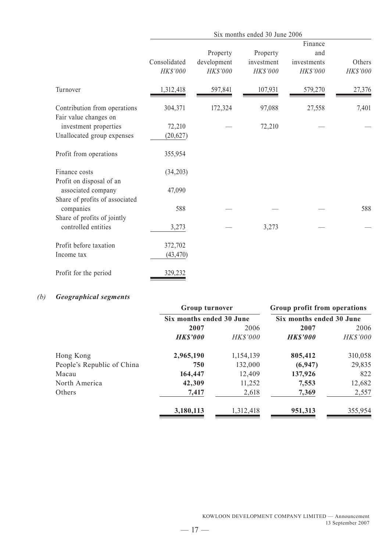|                                                       | Six months ended 30 June 2006 |                                     |                                    |                                           |                    |  |  |  |
|-------------------------------------------------------|-------------------------------|-------------------------------------|------------------------------------|-------------------------------------------|--------------------|--|--|--|
|                                                       | Consolidated<br>HK\$'000      | Property<br>development<br>HK\$'000 | Property<br>investment<br>HK\$'000 | Finance<br>and<br>investments<br>HK\$'000 | Others<br>HK\$'000 |  |  |  |
| Turnover                                              | 1,312,418                     | 597,841                             | 107,931                            | 579,270                                   | 27,376             |  |  |  |
| Contribution from operations<br>Fair value changes on | 304,371                       | 172,324                             | 97,088                             | 27,558                                    | 7,401              |  |  |  |
| investment properties                                 | 72,210                        |                                     | 72,210                             |                                           |                    |  |  |  |
| Unallocated group expenses                            | (20, 627)                     |                                     |                                    |                                           |                    |  |  |  |
| Profit from operations                                | 355,954                       |                                     |                                    |                                           |                    |  |  |  |
| Finance costs                                         | (34,203)                      |                                     |                                    |                                           |                    |  |  |  |
| Profit on disposal of an                              |                               |                                     |                                    |                                           |                    |  |  |  |
| associated company                                    | 47,090                        |                                     |                                    |                                           |                    |  |  |  |
| Share of profits of associated                        |                               |                                     |                                    |                                           |                    |  |  |  |
| companies                                             | 588                           |                                     |                                    |                                           | 588                |  |  |  |
| Share of profits of jointly                           |                               |                                     |                                    |                                           |                    |  |  |  |
| controlled entities                                   | 3,273                         |                                     | 3,273                              |                                           |                    |  |  |  |
| Profit before taxation                                | 372,702                       |                                     |                                    |                                           |                    |  |  |  |
| Income tax                                            | (43, 470)                     |                                     |                                    |                                           |                    |  |  |  |
| Profit for the period                                 | 329,232                       |                                     |                                    |                                           |                    |  |  |  |

# *(b) Geographical segments*

|                            | <b>Group turnover</b>    |           | Group profit from operations |          |
|----------------------------|--------------------------|-----------|------------------------------|----------|
|                            | Six months ended 30 June |           | Six months ended 30 June     |          |
|                            | 2007<br>2006             |           | 2007                         | 2006     |
|                            | <b>HK\$'000</b>          | HK\$'000  | <b>HK\$'000</b>              | HK\$'000 |
| Hong Kong                  | 2,965,190                | 1,154,139 | 805,412                      | 310,058  |
| People's Republic of China | 750                      | 132,000   | (6, 947)                     | 29,835   |
| Macau                      | 164,447                  | 12,409    | 137,926                      | 822      |
| North America              | 42,309                   | 11,252    | 7,553                        | 12,682   |
| Others                     | 7,417                    | 2,618     | 7,369                        | 2,557    |
|                            | 3,180,113                | 1,312,418 | 951,313                      | 355,954  |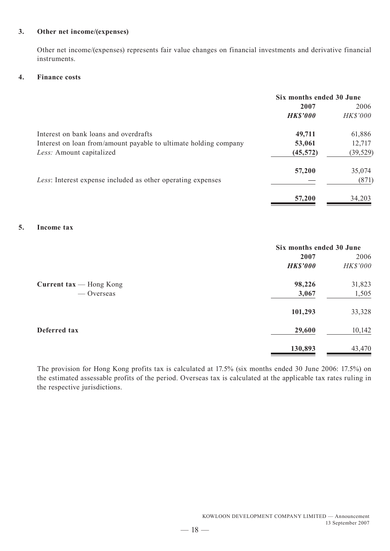#### **3. Other net income/(expenses)**

Other net income/(expenses) represents fair value changes on financial investments and derivative financial instruments.

#### **4. Finance costs**

|                                                                  | Six months ended 30 June |           |  |
|------------------------------------------------------------------|--------------------------|-----------|--|
|                                                                  | 2007                     | 2006      |  |
|                                                                  | <b>HK\$'000</b>          | HK\$'000  |  |
| Interest on bank loans and overdrafts                            | 49,711                   | 61,886    |  |
| Interest on loan from/amount payable to ultimate holding company | 53,061                   | 12,717    |  |
| Less: Amount capitalized                                         | (45, 572)                | (39, 529) |  |
|                                                                  | 57,200                   | 35,074    |  |
| Less: Interest expense included as other operating expenses      |                          | (871)     |  |
|                                                                  | 57,200                   | 34,203    |  |

## **5. Income tax**

|                                  | Six months ended 30 June |          |
|----------------------------------|--------------------------|----------|
|                                  | 2007                     | 2006     |
|                                  | <b>HK\$'000</b>          | HK\$'000 |
| Current $\text{tax}$ - Hong Kong | 98,226                   | 31,823   |
| — Overseas                       | 3,067                    | 1,505    |
|                                  | 101,293                  | 33,328   |
| Deferred tax                     | 29,600                   | 10,142   |
|                                  | 130,893                  | 43,470   |

The provision for Hong Kong profits tax is calculated at 17.5% (six months ended 30 June 2006: 17.5%) on the estimated assessable profits of the period. Overseas tax is calculated at the applicable tax rates ruling in the respective jurisdictions.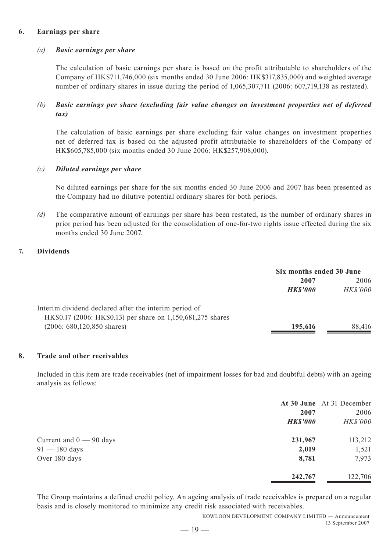#### **6. Earnings per share**

#### *(a) Basic earnings per share*

The calculation of basic earnings per share is based on the profit attributable to shareholders of the Company of HK\$711,746,000 (six months ended 30 June 2006: HK\$317,835,000) and weighted average number of ordinary shares in issue during the period of 1,065,307,711 (2006: 607,719,138 as restated).

#### *(b) Basic earnings per share (excluding fair value changes on investment properties net of deferred tax)*

The calculation of basic earnings per share excluding fair value changes on investment properties net of deferred tax is based on the adjusted profit attributable to shareholders of the Company of HK\$605,785,000 (six months ended 30 June 2006: HK\$257,908,000).

#### *(c) Diluted earnings per share*

No diluted earnings per share for the six months ended 30 June 2006 and 2007 has been presented as the Company had no dilutive potential ordinary shares for both periods.

*(d)* The comparative amount of earnings per share has been restated, as the number of ordinary shares in prior period has been adjusted for the consolidation of one-for-two rights issue effected during the six months ended 30 June 2007.

#### **7. Dividends**

|                                                             | Six months ended 30 June |          |
|-------------------------------------------------------------|--------------------------|----------|
|                                                             | 2007                     | 2006     |
|                                                             | <b>HK\$'000</b>          | HK\$'000 |
| Interim dividend declared after the interim period of       |                          |          |
| HK\$0.17 (2006: HK\$0.13) per share on 1,150,681,275 shares |                          |          |
| $(2006: 680, 120, 850$ shares)                              | 195,616                  | 88,416   |

#### **8. Trade and other receivables**

Included in this item are trade receivables (net of impairment losses for bad and doubtful debts) with an ageing analysis as follows:

|                           |                 | At 30 June At 31 December |
|---------------------------|-----------------|---------------------------|
|                           | 2007            | 2006                      |
|                           | <b>HK\$'000</b> | HK\$'000                  |
| Current and $0 - 90$ days | 231,967         | 113,212                   |
| $91 - 180$ days           | 2,019           | 1,521                     |
| Over 180 days             | 8,781           | 7,973                     |
|                           | 242,767         | 122,706                   |

The Group maintains a defined credit policy. An ageing analysis of trade receivables is prepared on a regular basis and is closely monitored to minimize any credit risk associated with receivables.

> KOWLOON DEVELOPMENT COMPANY LIMITED — Announcement 13 September 2007